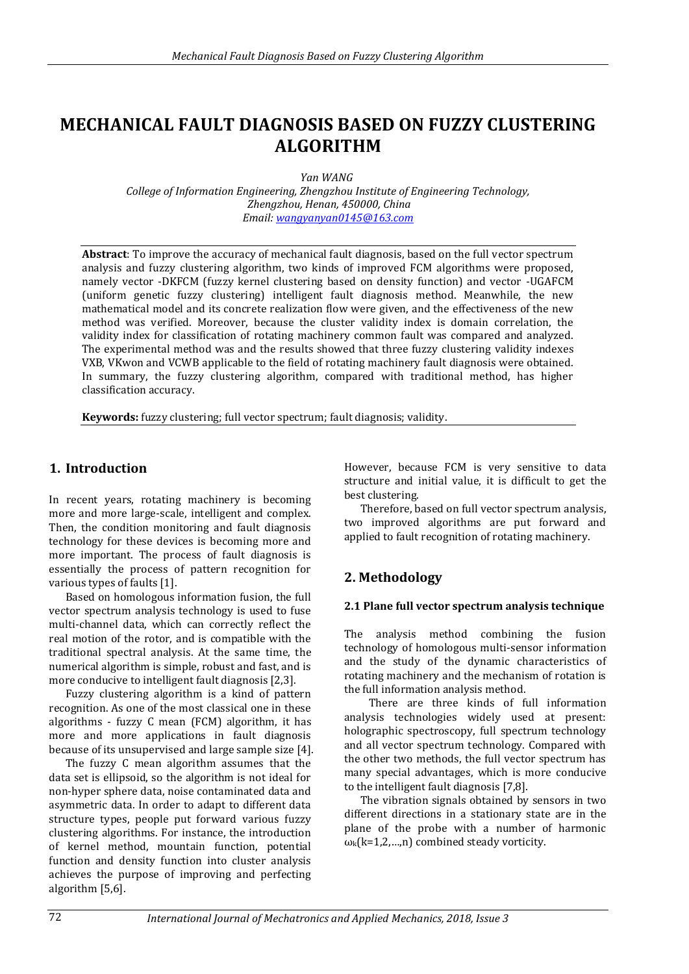# **MECHANICAL FAULT DIAGNOSIS BASED ON FUZZY CLUSTERING ALGORITHM**

*Yan WANG*

*College of Information Engineering, Zhengzhou Institute of Engineering Technology, Zhengzhou, Henan, 450000, China Email: [wangyanyan0145@163.com](mailto:wangyanyan0145@163.com)* 

**Abstract**: To improve the accuracy of mechanical fault diagnosis, based on the full vector spectrum analysis and fuzzy clustering algorithm, two kinds of improved FCM algorithms were proposed, namely vector -DKFCM (fuzzy kernel clustering based on density function) and vector -UGAFCM (uniform genetic fuzzy clustering) intelligent fault diagnosis method. Meanwhile, the new mathematical model and its concrete realization flow were given, and the effectiveness of the new method was verified. Moreover, because the cluster validity index is domain correlation, the validity index for classification of rotating machinery common fault was compared and analyzed. The experimental method was and the results showed that three fuzzy clustering validity indexes VXB, VKwon and VCWB applicable to the field of rotating machinery fault diagnosis were obtained. In summary, the fuzzy clustering algorithm, compared with traditional method, has higher classification accuracy.

**Keywords:** fuzzy clustering; full vector spectrum; fault diagnosis; validity.

### **1. Introduction**

In recent years, rotating machinery is becoming more and more large-scale, intelligent and complex. Then, the condition monitoring and fault diagnosis technology for these devices is becoming more and more important. The process of fault diagnosis is essentially the process of pattern recognition for various types of faults [1].

Based on homologous information fusion, the full vector spectrum analysis technology is used to fuse multi-channel data, which can correctly reflect the real motion of the rotor, and is compatible with the traditional spectral analysis. At the same time, the numerical algorithm is simple, robust and fast, and is more conducive to intelligent fault diagnosis [2,3].

Fuzzy clustering algorithm is a kind of pattern recognition. As one of the most classical one in these algorithms - fuzzy C mean (FCM) algorithm, it has more and more applications in fault diagnosis because of its unsupervised and large sample size [4].

The fuzzy C mean algorithm assumes that the data set is ellipsoid, so the algorithm is not ideal for non-hyper sphere data, noise contaminated data and asymmetric data. In order to adapt to different data structure types, people put forward various fuzzy clustering algorithms. For instance, the introduction of kernel method, mountain function, potential function and density function into cluster analysis achieves the purpose of improving and perfecting algorithm [5,6].

However, because FCM is very sensitive to data structure and initial value, it is difficult to get the best clustering.

Therefore, based on full vector spectrum analysis, two improved algorithms are put forward and applied to fault recognition of rotating machinery.

### **2. Methodology**

#### **2.1 Plane full vector spectrum analysis technique**

The analysis method combining the fusion technology of homologous multi-sensor information and the study of the dynamic characteristics of rotating machinery and the mechanism of rotation is the full information analysis method.

There are three kinds of full information analysis technologies widely used at present: holographic spectroscopy, full spectrum technology and all vector spectrum technology. Compared with the other two methods, the full vector spectrum has many special advantages, which is more conducive to the intelligent fault diagnosis [7,8].

The vibration signals obtained by sensors in two different directions in a stationary state are in the plane of the probe with a number of harmonic  $\omega_{k}(k=1,2,...,n)$  combined steady vorticity.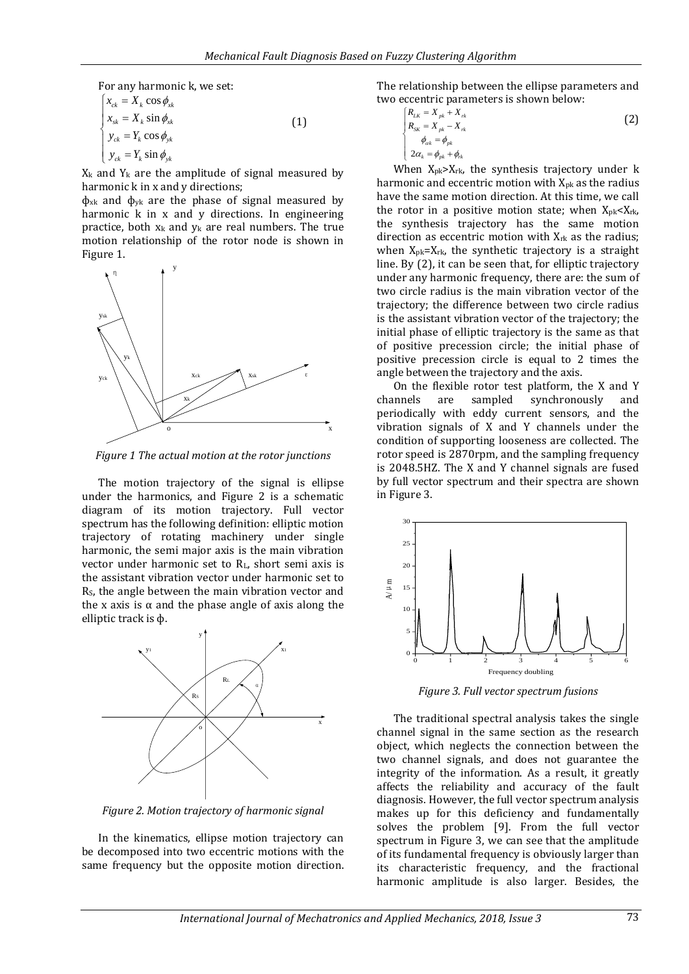For any harmonic k, we set:

$$
\begin{cases}\nx_{ck} = X_k \cos \phi_{x\overline{k}} \\
x_{sk} = X_k \sin \phi_{x\overline{k}} \\
y_{ck} = Y_k \cos \phi_{y\overline{k}} \\
y_{ck} = Y_k \sin \phi_{y\overline{k}}\n\end{cases}
$$
\n(1)

 $X_k$  and  $Y_k$  are the amplitude of signal measured by harmonic k in x and y directions;

 $\phi$ <sub>xk</sub> and  $\phi$ <sub>yk</sub> are the phase of signal measured by harmonic k in x and y directions. In engineering practice, both  $x_k$  and  $y_k$  are real numbers. The true motion relationship of the rotor node is shown in Figure 1.



*Figure 1 The actual motion at the rotor junctions*

The motion trajectory of the signal is ellipse under the harmonics, and Figure 2 is a schematic diagram of its motion trajectory. Full vector spectrum has the following definition: elliptic motion trajectory of rotating machinery under single harmonic, the semi major axis is the main vibration vector under harmonic set to RL, short semi axis is the assistant vibration vector under harmonic set to R<sub>S</sub>, the angle between the main vibration vector and the x axis is α and the phase angle of axis along the elliptic track is ф.



*Figure 2. Motion trajectory of harmonic signal*

In the kinematics, ellipse motion trajectory can be decomposed into two eccentric motions with the same frequency but the opposite motion direction. The relationship between the ellipse parameters and two eccentric parameters is shown below:

$$
\begin{cases}\nR_{LK} = X_{pk} + X_{rk} \\
R_{SK} = X_{pk} - X_{rk} \\
\phi_{ak} = \phi_{pk} \\
2\alpha_k = \phi_{pk} + \phi_{rk}\n\end{cases}
$$
\n(2)

When X<sub>pk</sub>>X<sub>rk</sub>, the synthesis trajectory under k harmonic and eccentric motion with X<sub>pk</sub> as the radius have the same motion direction. At this time, we call the rotor in a positive motion state; when  $X_{pk} < X_{rk}$ , the synthesis trajectory has the same motion direction as eccentric motion with  $X_{rk}$  as the radius; when  $X_{pk}=X_{rk}$ , the synthetic trajectory is a straight line. By (2), it can be seen that, for elliptic trajectory under any harmonic frequency, there are: the sum of two circle radius is the main vibration vector of the trajectory; the difference between two circle radius is the assistant vibration vector of the trajectory; the initial phase of elliptic trajectory is the same as that of positive precession circle; the initial phase of positive precession circle is equal to 2 times the angle between the trajectory and the axis.

On the flexible rotor test platform, the X and Y channels are sampled synchronously and periodically with eddy current sensors, and the vibration signals of X and Y channels under the condition of supporting looseness are collected. The rotor speed is 2870rpm, and the sampling frequency is 2048.5HZ. The X and Y channel signals are fused by full vector spectrum and their spectra are shown in Figure 3.



*Figure 3. Full vector spectrum fusions*

The traditional spectral analysis takes the single channel signal in the same section as the research object, which neglects the connection between the two channel signals, and does not guarantee the integrity of the information. As a result, it greatly affects the reliability and accuracy of the fault diagnosis. However, the full vector spectrum analysis makes up for this deficiency and fundamentally solves the problem [9]. From the full vector spectrum in Figure 3, we can see that the amplitude of its fundamental frequency is obviously larger than its characteristic frequency, and the fractional harmonic amplitude is also larger. Besides, the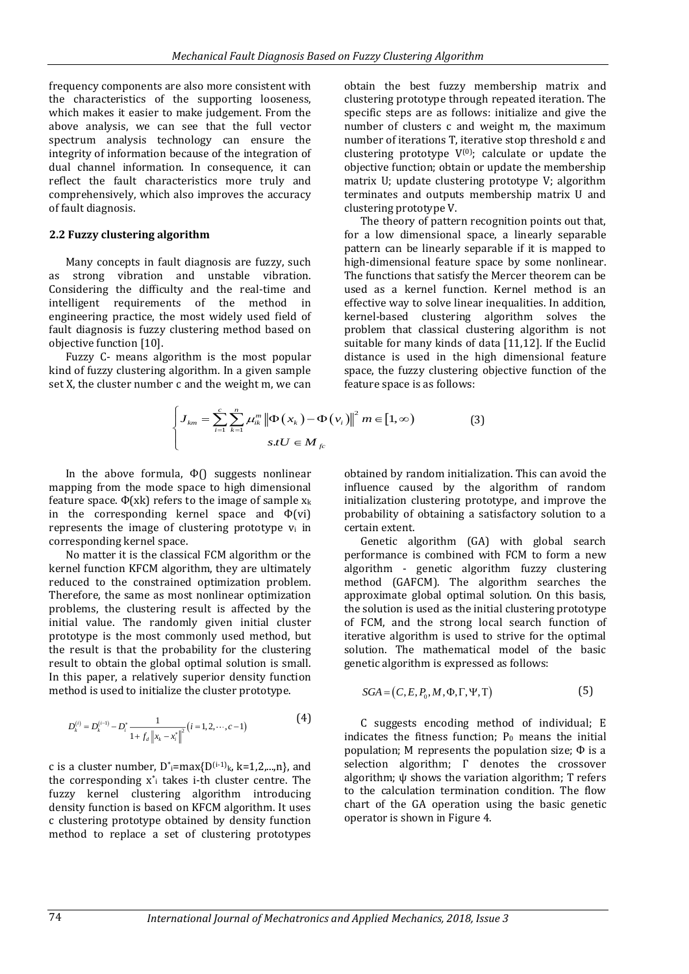frequency components are also more consistent with the characteristics of the supporting looseness, which makes it easier to make judgement. From the above analysis, we can see that the full vector spectrum analysis technology can ensure the integrity of information because of the integration of dual channel information. In consequence, it can reflect the fault characteristics more truly and comprehensively, which also improves the accuracy of fault diagnosis.

#### **2.2 Fuzzy clustering algorithm**

Many concepts in fault diagnosis are fuzzy, such as strong vibration and unstable vibration. Considering the difficulty and the real-time and intelligent requirements of the method in engineering practice, the most widely used field of fault diagnosis is fuzzy clustering method based on objective function [10].

Fuzzy C- means algorithm is the most popular kind of fuzzy clustering algorithm. In a given sample set X, the cluster number c and the weight m, we can

obtain the best fuzzy membership matrix and clustering prototype through repeated iteration. The specific steps are as follows: initialize and give the number of clusters c and weight m, the maximum number of iterations T, iterative stop threshold ε and clustering prototype  $V^{(0)}$ ; calculate or update the objective function; obtain or update the membership matrix U; update clustering prototype V; algorithm terminates and outputs membership matrix U and clustering prototype V.

The theory of pattern recognition points out that, for a low dimensional space, a linearly separable pattern can be linearly separable if it is mapped to high-dimensional feature space by some nonlinear. The functions that satisfy the Mercer theorem can be used as a kernel function. Kernel method is an effective way to solve linear inequalities. In addition, kernel-based clustering algorithm solves the problem that classical clustering algorithm is not suitable for many kinds of data [11,12]. If the Euclid distance is used in the high dimensional feature space, the fuzzy clustering objective function of the feature space is as follows:

$$
\left\{ J_{km} = \sum_{i=1}^{c} \sum_{k=1}^{n} \mu_{ik}^{m} \left\| \Phi \left( x_{k} \right) - \Phi \left( v_{i} \right) \right\|^{2} m \in [1, \infty) \right\}
$$
\n
$$
s_{i} U \in M_{fc}
$$
\n(3)

In the above formula,  $\Phi()$  suggests nonlinear mapping from the mode space to high dimensional feature space.  $\Phi$ (xk) refers to the image of sample  $x_k$ in the corresponding kernel space and  $\Phi$ (vi) represents the image of clustering prototype v<sup>i</sup> in corresponding kernel space.

No matter it is the classical FCM algorithm or the kernel function KFCM algorithm, they are ultimately reduced to the constrained optimization problem. Therefore, the same as most nonlinear optimization problems, the clustering result is affected by the initial value. The randomly given initial cluster prototype is the most commonly used method, but the result is that the probability for the clustering result to obtain the global optimal solution is small. In this paper, a relatively superior density function method is used to initialize the cluster prototype.

$$
D_k^{(i)} = D_k^{(i-1)} - D_i^* \frac{1}{1 + f_d ||x_k - x_i^*||^2} (i = 1, 2, \cdots, c-1)
$$
 (4)

c is a cluster number,  $D^*$ =max $\{D^{(i-1)}\}$ , k=1,2,...,n}, and the corresponding x\* <sup>i</sup> takes i-th cluster centre. The fuzzy kernel clustering algorithm introducing density function is based on KFCM algorithm. It uses c clustering prototype obtained by density function method to replace a set of clustering prototypes

obtained by random initialization. This can avoid the influence caused by the algorithm of random initialization clustering prototype, and improve the probability of obtaining a satisfactory solution to a certain extent.

Genetic algorithm (GA) with global search performance is combined with FCM to form a new algorithm - genetic algorithm fuzzy clustering method (GAFCM). The algorithm searches the approximate global optimal solution. On this basis, the solution is used as the initial clustering prototype of FCM, and the strong local search function of iterative algorithm is used to strive for the optimal solution. The mathematical model of the basic genetic algorithm is expressed as follows:

$$
SGA = (C, E, P_0, M, \Phi, \Gamma, \Psi, \Gamma) \tag{5}
$$

C suggests encoding method of individual; E indicates the fitness function;  $P_0$  means the initial population; M represents the population size;  $\Phi$  is a selection algorithm; Г denotes the crossover algorithm; ψ shows the variation algorithm; T refers to the calculation termination condition. The flow chart of the GA operation using the basic genetic operator is shown in Figure 4.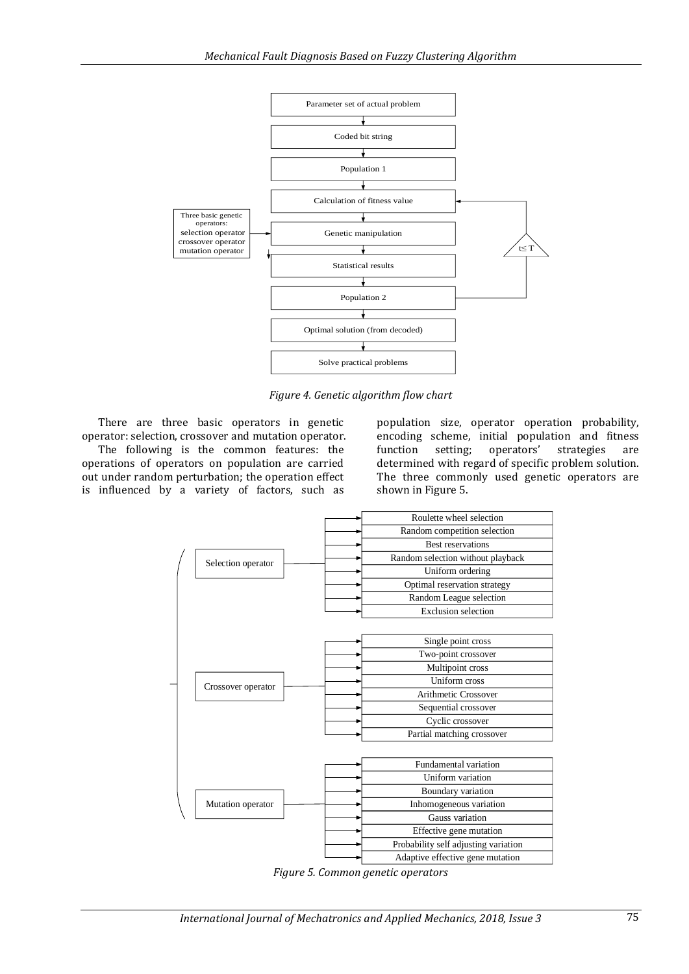

*Figure 4. Genetic algorithm flow chart*

There are three basic operators in genetic operator: selection, crossover and mutation operator. The following is the common features: the operations of operators on population are carried out under random perturbation; the operation effect is influenced by a variety of factors, such as

population size, operator operation probability, encoding scheme, initial population and fitness<br>function setting; operators' strategies are function setting; operators' strategies are determined with regard of specific problem solution. The three commonly used genetic operators are shown in Figure 5.



*Figure 5. Common genetic operators*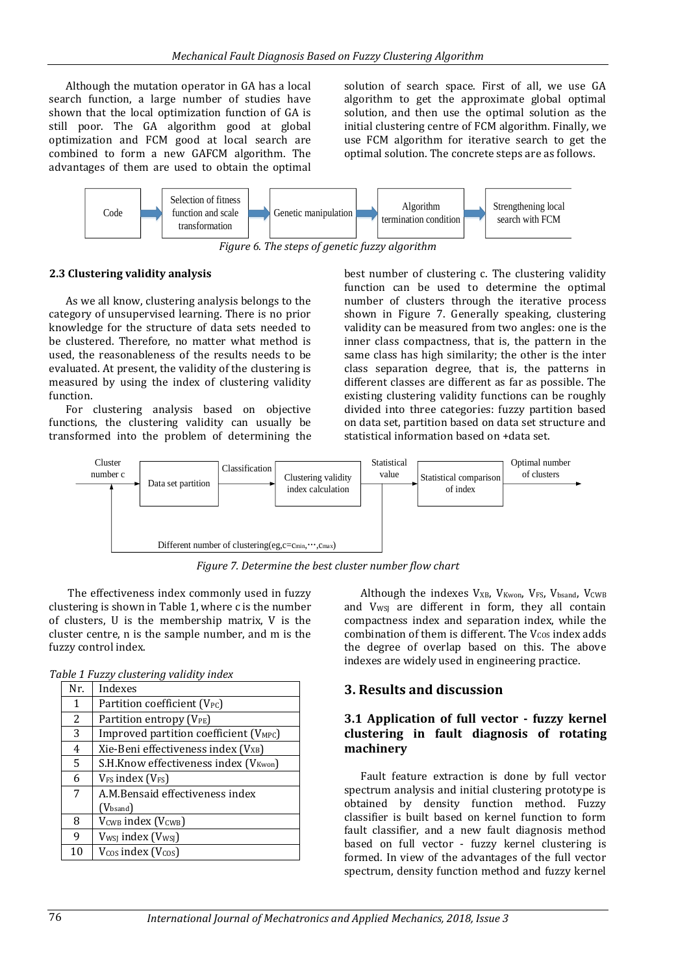Although the mutation operator in GA has a local search function, a large number of studies have shown that the local optimization function of GA is still poor. The GA algorithm good at global optimization and FCM good at local search are combined to form a new GAFCM algorithm. The advantages of them are used to obtain the optimal solution of search space. First of all, we use GA algorithm to get the approximate global optimal solution, and then use the optimal solution as the initial clustering centre of FCM algorithm. Finally, we use FCM algorithm for iterative search to get the optimal solution. The concrete steps are as follows.



*Figure 6. The steps of genetic fuzzy algorithm*

### **2.3 Clustering validity analysis**

As we all know, clustering analysis belongs to the category of unsupervised learning. There is no prior knowledge for the structure of data sets needed to be clustered. Therefore, no matter what method is used, the reasonableness of the results needs to be evaluated. At present, the validity of the clustering is measured by using the index of clustering validity function.

For clustering analysis based on objective functions, the clustering validity can usually be transformed into the problem of determining the best number of clustering c. The clustering validity function can be used to determine the optimal number of clusters through the iterative process shown in Figure 7. Generally speaking, clustering validity can be measured from two angles: one is the inner class compactness, that is, the pattern in the same class has high similarity; the other is the inter class separation degree, that is, the patterns in different classes are different as far as possible. The existing clustering validity functions can be roughly divided into three categories: fuzzy partition based on data set, partition based on data set structure and statistical information based on +data set.



*Figure 7. Determine the best cluster number flow chart*

The effectiveness index commonly used in fuzzy clustering is shown in Table 1, where c is the number of clusters, U is the membership matrix, V is the cluster centre, n is the sample number, and m is the fuzzy control index.

|  |  |  | Table 1 Fuzzy clustering validity index |  |  |
|--|--|--|-----------------------------------------|--|--|
|--|--|--|-----------------------------------------|--|--|

| Nr. | Indexes                                            |
|-----|----------------------------------------------------|
| 1   | Partition coefficient (V <sub>PC</sub> )           |
| 2   | Partition entropy (V <sub>PE</sub> )               |
| 3   | Improved partition coefficient (V <sub>MPC</sub> ) |
| 4   | Xie-Beni effectiveness index (V <sub>XB</sub> )    |
| 5   | S.H.Know effectiveness index (V <sub>Kwon</sub> )  |
| 6   | V <sub>FS</sub> index (V <sub>FS</sub> )           |
| 7   | A.M.Bensaid effectiveness index                    |
|     | (V <sub>bsand</sub> )                              |
| 8   | V <sub>CWB</sub> index (V <sub>CWB</sub> )         |
| 9   | V <sub>wsj</sub> index (V <sub>wsj</sub> )         |
| 10  | $V_{\text{COS}}$ index ( $V_{\text{COS}}$ )        |

Although the indexes V<sub>XB</sub>, V<sub>Kwon</sub>, V<sub>FS</sub>, V<sub>bsand</sub>, V<sub>CWB</sub> and V<sub>WSJ</sub> are different in form, they all contain compactness index and separation index, while the combination of them is different. The  $V_{COS}$  index adds the degree of overlap based on this. The above indexes are widely used in engineering practice.

### **3. Results and discussion**

### **3.1 Application of full vector - fuzzy kernel clustering in fault diagnosis of rotating machinery**

Fault feature extraction is done by full vector spectrum analysis and initial clustering prototype is obtained by density function method. Fuzzy classifier is built based on kernel function to form fault classifier, and a new fault diagnosis method based on full vector - fuzzy kernel clustering is formed. In view of the advantages of the full vector spectrum, density function method and fuzzy kernel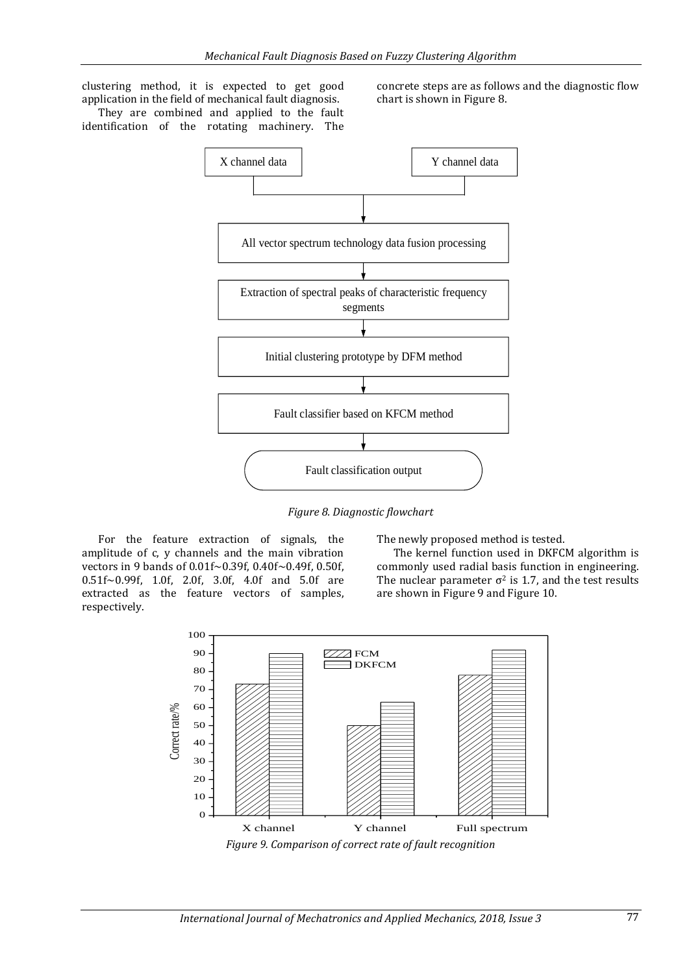clustering method, it is expected to get good application in the field of mechanical fault diagnosis.

They are combined and applied to the fault identification of the rotating machinery. The concrete steps are as follows and the diagnostic flow chart is shown in Figure 8.



*Figure 8. Diagnostic flowchart*

For the feature extraction of signals, the amplitude of c, y channels and the main vibration vectors in 9 bands of 0.01f~0.39f, 0.40f~0.49f, 0.50f, 0.51f~0.99f, 1.0f, 2.0f, 3.0f, 4.0f and 5.0f are extracted as the feature vectors of samples, respectively.

The newly proposed method is tested.

The kernel function used in DKFCM algorithm is commonly used radial basis function in engineering. The nuclear parameter  $\sigma^2$  is 1.7, and the test results are shown in Figure 9 and Figure 10.



*Figure 9. Comparison of correct rate of fault recognition*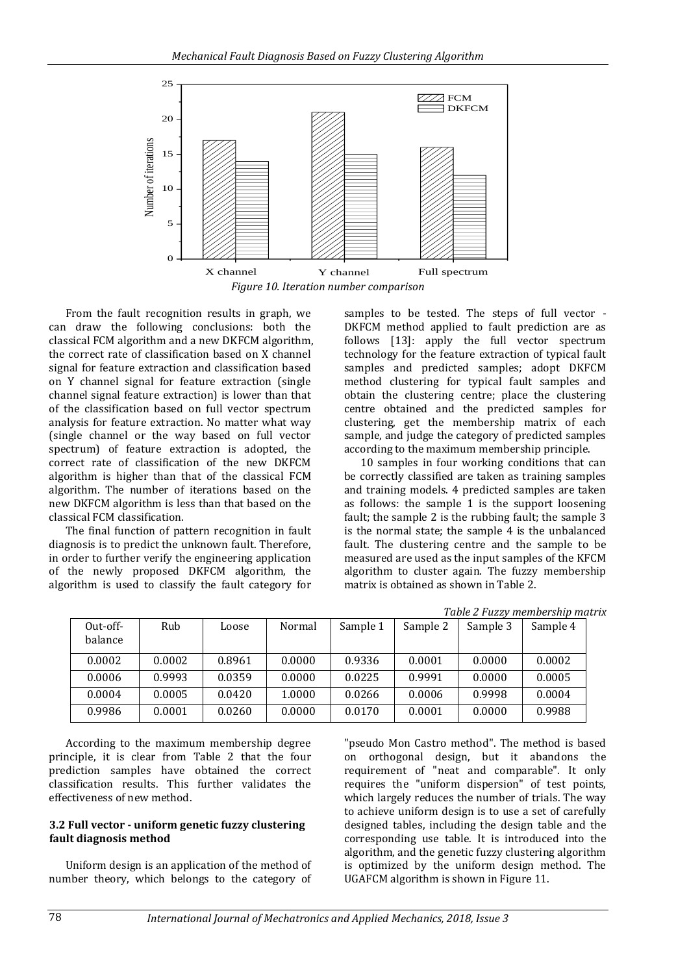

From the fault recognition results in graph, we can draw the following conclusions: both the classical FCM algorithm and a new DKFCM algorithm, the correct rate of classification based on X channel signal for feature extraction and classification based on Y channel signal for feature extraction (single channel signal feature extraction) is lower than that of the classification based on full vector spectrum analysis for feature extraction. No matter what way (single channel or the way based on full vector spectrum) of feature extraction is adopted, the correct rate of classification of the new DKFCM algorithm is higher than that of the classical FCM algorithm. The number of iterations based on the new DKFCM algorithm is less than that based on the classical FCM classification.

The final function of pattern recognition in fault diagnosis is to predict the unknown fault. Therefore, in order to further verify the engineering application of the newly proposed DKFCM algorithm, the algorithm is used to classify the fault category for samples to be tested. The steps of full vector - DKFCM method applied to fault prediction are as follows [13]: apply the full vector spectrum technology for the feature extraction of typical fault samples and predicted samples; adopt DKFCM method clustering for typical fault samples and obtain the clustering centre; place the clustering centre obtained and the predicted samples for clustering, get the membership matrix of each sample, and judge the category of predicted samples according to the maximum membership principle.

10 samples in four working conditions that can be correctly classified are taken as training samples and training models. 4 predicted samples are taken as follows: the sample 1 is the support loosening fault; the sample 2 is the rubbing fault; the sample 3 is the normal state; the sample 4 is the unbalanced fault. The clustering centre and the sample to be measured are used as the input samples of the KFCM algorithm to cluster again. The fuzzy membership matrix is obtained as shown in Table 2.

|                       |        |        |        |          |          | Table 2 Fuzzy membersnip matri |          |
|-----------------------|--------|--------|--------|----------|----------|--------------------------------|----------|
| $Out-off-$<br>balance | Rub    | Loose  | Normal | Sample 1 | Sample 2 | Sample 3                       | Sample 4 |
| 0.0002                | 0.0002 | 0.8961 | 0.0000 | 0.9336   | 0.0001   | 0.0000                         | 0.0002   |
| 0.0006                | 0.9993 | 0.0359 | 0.0000 | 0.0225   | 0.9991   | 0.0000                         | 0.0005   |
| 0.0004                | 0.0005 | 0.0420 | 1.0000 | 0.0266   | 0.0006   | 0.9998                         | 0.0004   |
| 0.9986                | 0.0001 | 0.0260 | 0.0000 | 0.0170   | 0.0001   | 0.0000                         | 0.9988   |

*Table 2 Fuzzy membership matrix*

According to the maximum membership degree principle, it is clear from Table 2 that the four prediction samples have obtained the correct classification results. This further validates the effectiveness of new method.

### **3.2 Full vector - uniform genetic fuzzy clustering fault diagnosis method**

Uniform design is an application of the method of number theory, which belongs to the category of "pseudo Mon Castro method". The method is based on orthogonal design, but it abandons the requirement of "neat and comparable". It only requires the "uniform dispersion" of test points, which largely reduces the number of trials. The way to achieve uniform design is to use a set of carefully designed tables, including the design table and the corresponding use table. It is introduced into the algorithm, and the genetic fuzzy clustering algorithm is optimized by the uniform design method. The UGAFCM algorithm is shown in Figure 11.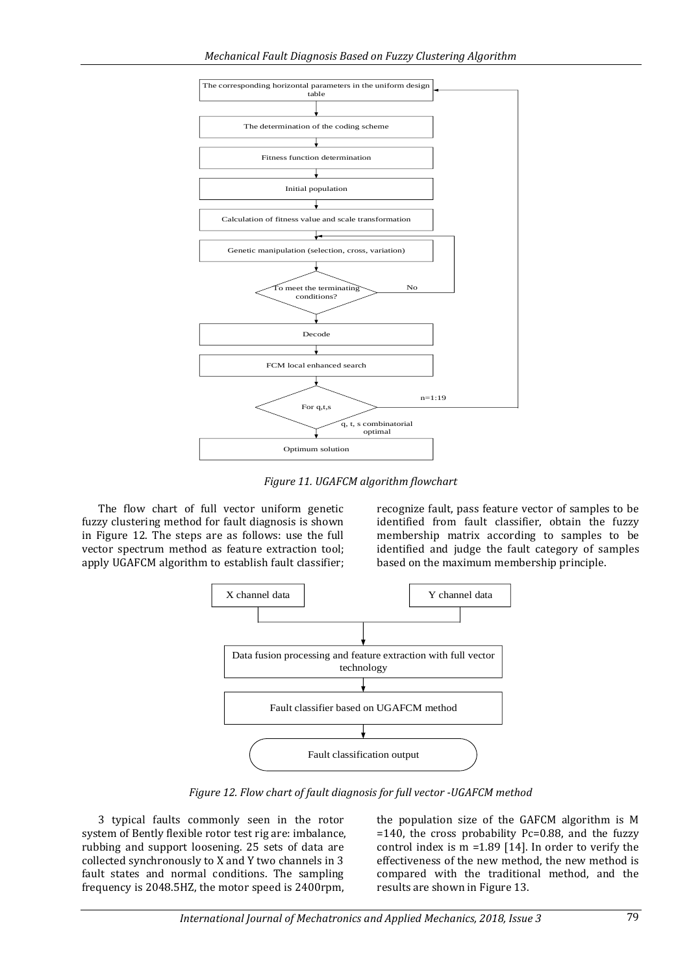

*Figure 11. UGAFCM algorithm flowchart*

The flow chart of full vector uniform genetic fuzzy clustering method for fault diagnosis is shown in Figure 12. The steps are as follows: use the full vector spectrum method as feature extraction tool; apply UGAFCM algorithm to establish fault classifier;

recognize fault, pass feature vector of samples to be identified from fault classifier, obtain the fuzzy membership matrix according to samples to be identified and judge the fault category of samples based on the maximum membership principle.



*Figure 12. Flow chart of fault diagnosis for full vector -UGAFCM method*

3 typical faults commonly seen in the rotor system of Bently flexible rotor test rig are: imbalance, rubbing and support loosening. 25 sets of data are collected synchronously to X and Y two channels in 3 fault states and normal conditions. The sampling frequency is 2048.5HZ, the motor speed is 2400rpm,

the population size of the GAFCM algorithm is M =140, the cross probability Pc=0.88, and the fuzzy control index is  $m = 1.89$  [14]. In order to verify the effectiveness of the new method, the new method is compared with the traditional method, and the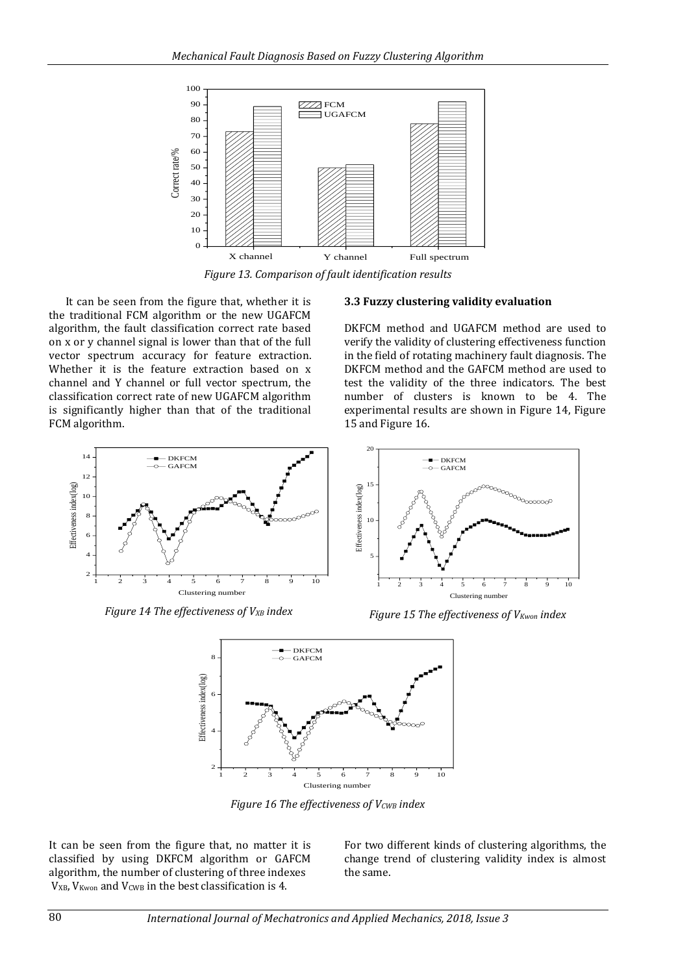

*Figure 13. Comparison of fault identification results*

It can be seen from the figure that, whether it is the traditional FCM algorithm or the new UGAFCM algorithm, the fault classification correct rate based on x or y channel signal is lower than that of the full vector spectrum accuracy for feature extraction. Whether it is the feature extraction based on x channel and Y channel or full vector spectrum, the classification correct rate of new UGAFCM algorithm is significantly higher than that of the traditional FCM algorithm.

#### **3.3 Fuzzy clustering validity evaluation**

DKFCM method and UGAFCM method are used to verify the validity of clustering effectiveness function in the field of rotating machinery fault diagnosis. The DKFCM method and the GAFCM method are used to test the validity of the three indicators. The best number of clusters is known to be 4. The experimental results are shown in Figure 14, Figure 15 and Figure 16.



*Figure 14 The effectiveness of VXB index*



*Figure 15 The effectiveness of VKwon index*



*Figure 16 The effectiveness of VCWB index*

It can be seen from the figure that, no matter it is classified by using DKFCM algorithm or GAFCM algorithm, the number of clustering of three indexes V<sub>XB</sub>, V<sub>Kwon</sub> and V<sub>CWB</sub> in the best classification is 4.

For two different kinds of clustering algorithms, the change trend of clustering validity index is almost the same.